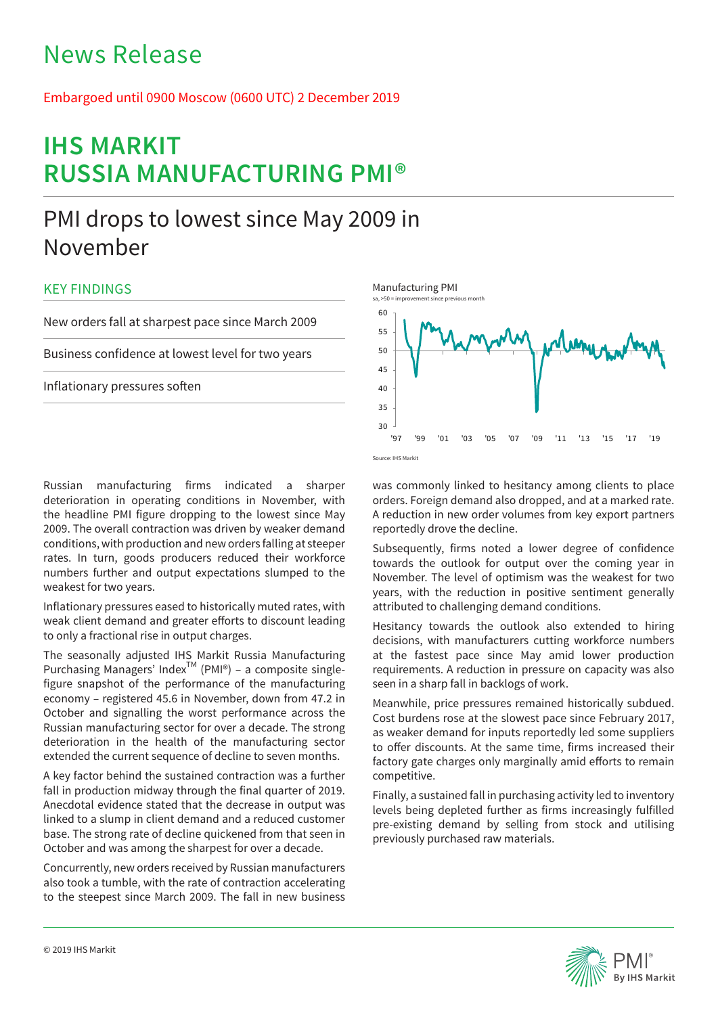# News Release

Embargoed until 0900 Moscow (0600 UTC) 2 December 2019

# **IHS MARKIT RUSSIA MANUFACTURING PMI®**

# PMI drops to lowest since May 2009 in November

# KEY FINDINGS

New orders fall at sharpest pace since March 2009

Business confidence at lowest level for two years

Inflationary pressures soften

Russian manufacturing firms indicated a sharper deterioration in operating conditions in November, with the headline PMI figure dropping to the lowest since May 2009. The overall contraction was driven by weaker demand conditions, with production and new orders falling at steeper rates. In turn, goods producers reduced their workforce numbers further and output expectations slumped to the weakest for two years.

Inflationary pressures eased to historically muted rates, with weak client demand and greater efforts to discount leading to only a fractional rise in output charges.

The seasonally adjusted IHS Markit Russia Manufacturing Purchasing Managers' Index<sup>TM</sup> (PMI®) – a composite singlefigure snapshot of the performance of the manufacturing economy – registered 45.6 in November, down from 47.2 in October and signalling the worst performance across the Russian manufacturing sector for over a decade. The strong deterioration in the health of the manufacturing sector extended the current sequence of decline to seven months.

A key factor behind the sustained contraction was a further fall in production midway through the final quarter of 2019. Anecdotal evidence stated that the decrease in output was linked to a slump in client demand and a reduced customer base. The strong rate of decline quickened from that seen in October and was among the sharpest for over a decade.

Concurrently, new orders received by Russian manufacturers also took a tumble, with the rate of contraction accelerating to the steepest since March 2009. The fall in new business



was commonly linked to hesitancy among clients to place orders. Foreign demand also dropped, and at a marked rate. A reduction in new order volumes from key export partners reportedly drove the decline.

Subsequently, firms noted a lower degree of confidence towards the outlook for output over the coming year in November. The level of optimism was the weakest for two years, with the reduction in positive sentiment generally attributed to challenging demand conditions.

Hesitancy towards the outlook also extended to hiring decisions, with manufacturers cutting workforce numbers at the fastest pace since May amid lower production requirements. A reduction in pressure on capacity was also seen in a sharp fall in backlogs of work.

Meanwhile, price pressures remained historically subdued. Cost burdens rose at the slowest pace since February 2017, as weaker demand for inputs reportedly led some suppliers to offer discounts. At the same time, firms increased their factory gate charges only marginally amid efforts to remain competitive.

Finally, a sustained fall in purchasing activity led to inventory levels being depleted further as firms increasingly fulfilled pre-existing demand by selling from stock and utilising previously purchased raw materials.